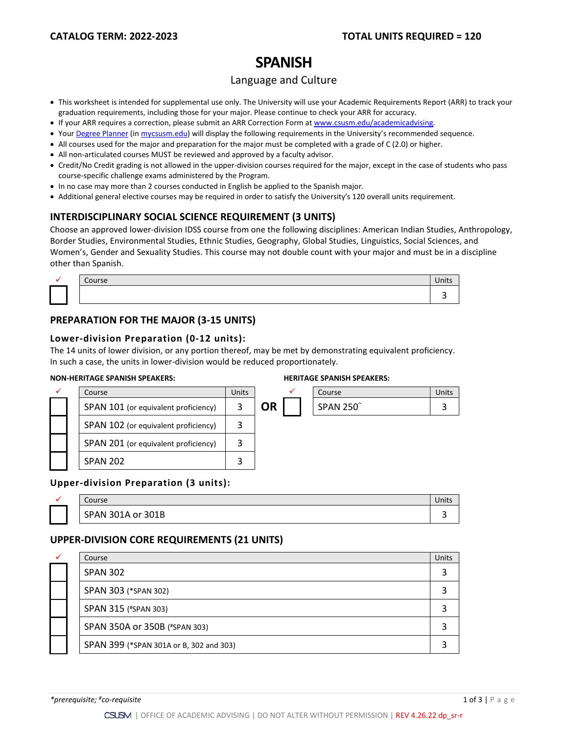# **SPANISH**

## Language and Culture

- This worksheet is intended for supplemental use only. The University will use your Academic Requirements Report (ARR) to track your graduation requirements, including those for your major. Please continue to check your ARR for accuracy.
- If your ARR requires a correction, please submit an [ARR Correction Form](http://www.csusm.edu/academicadvising/arrcorrection/index.html) a[t www.csusm.edu/academicadvising.](http://www.csusm.edu/academicadvising)
- You[r Degree Planner](https://www.csusm.edu/academicadvising/degreeplanner/index.html) (i[n mycsusm.edu\)](https://my.csusm.edu/) will display the following requirements in the University's recommended sequence.
- All courses used for the major and preparation for the major must be completed with a grade of C (2.0) or higher.
- All non-articulated courses MUST be reviewed and approved by a faculty advisor.
- Credit/No Credit grading is not allowed in the upper-division courses required for the major, except in the case of students who pass course-specific challenge exams administered by the Program.
- In no case may more than 2 courses conducted in English be applied to the Spanish major.
- Additional general elective courses may be required in order to satisfy the University's 120 overall units requirement.

### **INTERDISCIPLINARY SOCIAL SCIENCE REQUIREMENT (3 UNITS)**

Choose an approved lower-division IDSS course from one the following disciplines: American Indian Studies, Anthropology, Border Studies, Environmental Studies, Ethnic Studies, Geography, Global Studies, Linguistics, Social Sciences, and Women's, Gender and Sexuality Studies. This course may not double count with your major and must be in a discipline other than Spanish.

|  | <br>1. J C |  |
|--|------------|--|
|  |            |  |

# **PREPARATION FOR THE MAJOR (3-15 UNITS)**

#### **Lower-division Preparation (0-12 units):**

The 14 units of lower division, or any portion thereof, may be met by demonstrating equivalent proficiency. In such a case, the units in lower-division would be reduced proportionately.

#### **NON-HERITAGE SPANISH SPEAKERS: HERITAGE SPANISH SPEAKERS:**

|  | Course                               | <b>Units</b> |           |  | Course          | Units |
|--|--------------------------------------|--------------|-----------|--|-----------------|-------|
|  | SPAN 101 (or equivalent proficiency) |              | <b>OR</b> |  | <b>SPAN 250</b> |       |
|  | SPAN 102 (or equivalent proficiency) | 3            |           |  |                 |       |
|  | SPAN 201 (or equivalent proficiency) | 3            |           |  |                 |       |
|  | <b>SPAN 202</b>                      |              |           |  |                 |       |

#### **Upper-division Preparation (3 units):**

| Course            |  |
|-------------------|--|
| SPAN 301A or 301B |  |

#### **UPPER-DIVISION CORE REQUIREMENTS (21 UNITS)**

| $\checkmark$ | Course                                  | Units |
|--------------|-----------------------------------------|-------|
|              | <b>SPAN 302</b>                         |       |
|              | SPAN 303 (*SPAN 302)                    |       |
|              | SPAN 315 (#SPAN 303)                    |       |
|              | SPAN 350A or 350B (#SPAN 303)           |       |
|              | SPAN 399 (*SPAN 301A or B, 302 and 303) |       |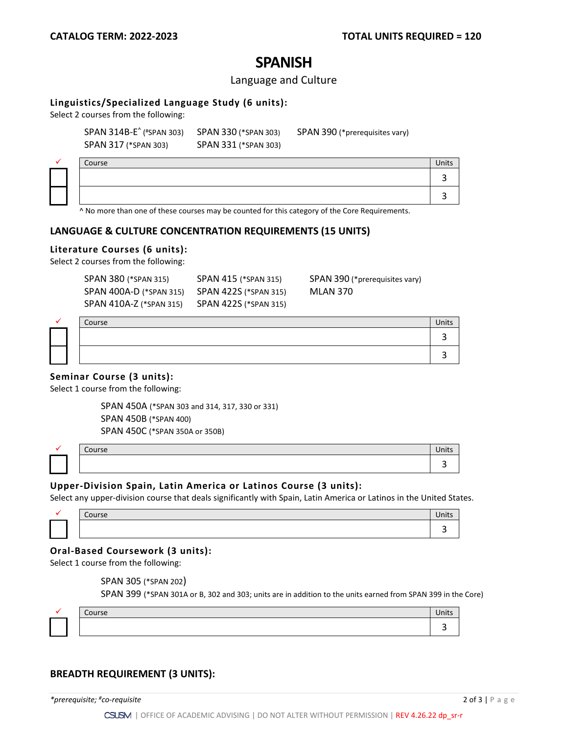# **SPANISH**

#### Language and Culture

#### **Linguistics/Specialized Language Study (6 units):**

Select 2 courses from the following:

SPAN 317 (\*SPAN 303) SPAN 331 (\*SPAN 303)

SPAN 314B-E^ (#SPAN 303) SPAN 330 (\*SPAN 303) SPAN 390 (\*prerequisites vary)

|  | Course                                                                                                                                                                                                                                           | Units |
|--|--------------------------------------------------------------------------------------------------------------------------------------------------------------------------------------------------------------------------------------------------|-------|
|  |                                                                                                                                                                                                                                                  |       |
|  |                                                                                                                                                                                                                                                  |       |
|  | $\sim$ $\sim$<br>$\sim$ . The state of the state of the state of the state of the state of the state of the state of the state of the state of the state of the state of the state of the state of the state of the state of the state of the st |       |

^ No more than one of these courses may be counted for this category of the Core Requirements.

### **LANGUAGE & CULTURE CONCENTRATION REQUIREMENTS (15 UNITS)**

#### **Literature Courses (6 units):**

Select 2 courses from the following:

| SPAN 380 (*SPAN 315)    | SPAN 415 (*SPAN 315)  | SPAN 390 (*prerequisites vary) |
|-------------------------|-----------------------|--------------------------------|
| SPAN 400A-D (*SPAN 315) | SPAN 422S (*SPAN 315) | MLAN 370                       |
| SPAN 410A-Z (*SPAN 315) | SPAN 422S (*SPAN 315) |                                |

|  | Course |  |
|--|--------|--|
|  |        |  |
|  |        |  |

#### **Seminar Course (3 units):**

Select 1 course from the following:

| SPAN 450A (*SPAN 303 and 314, 317, 330 or 331) |
|------------------------------------------------|
| SPAN 450B (*SPAN 400)                          |
| SPAN 450C (*SPAN 350A or 350B)                 |

|  | Course | .115 |
|--|--------|------|
|  |        | . .  |
|  |        |      |

#### **Upper-Division Spain, Latin America or Latinos Course (3 units):**

Select any upper-division course that deals significantly with Spain, Latin America or Latinos in the United States.

| $\sim \sim$ |  |
|-------------|--|
|             |  |

#### **Oral-Based Coursework (3 units):**

Select 1 course from the following:

SPAN 305 (\*SPAN 202)

SPAN 399 (\*SPAN 301A or B, 302 and 303; units are in addition to the units earned from SPAN 399 in the Core)

| `ourse | . .<br>101<br>UIILS |
|--------|---------------------|
|        |                     |

#### **BREADTH REQUIREMENT (3 UNITS):**

*\*prerequisite; #co-requisite* 2 of 3 | Page